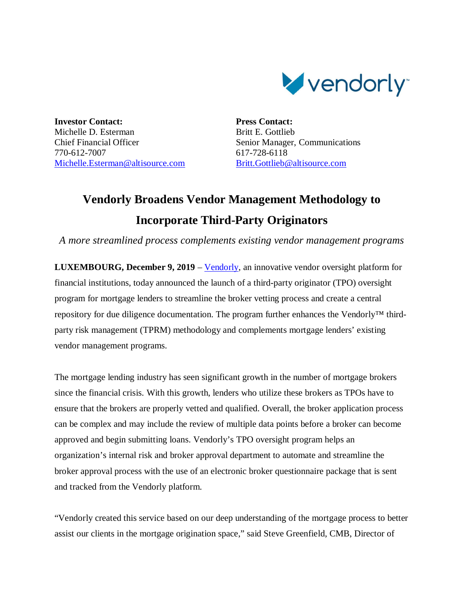

**Investor Contact:** Michelle D. Esterman Chief Financial Officer 770-612-7007 Michelle.Esterman@altisource.com **Press Contact:** Britt E. Gottlieb Senior Manager, Communications 617-728-6118 Britt.Gottlieb@altisource.com

## **Vendorly Broadens Vendor Management Methodology to Incorporate Third-Party Originators**

*A more streamlined process complements existing vendor management programs*

**LUXEMBOURG, December 9, 2019** – Vendorly, an innovative vendor oversight platform for financial institutions, today announced the launch of a third-party originator (TPO) oversight program for mortgage lenders to streamline the broker vetting process and create a central repository for due diligence documentation. The program further enhances the Vendorly™ thirdparty risk management (TPRM) methodology and complements mortgage lenders' existing vendor management programs.

The mortgage lending industry has seen significant growth in the number of mortgage brokers since the financial crisis. With this growth, lenders who utilize these brokers as TPOs have to ensure that the brokers are properly vetted and qualified. Overall, the broker application process can be complex and may include the review of multiple data points before a broker can become approved and begin submitting loans. Vendorly's TPO oversight program helps an organization's internal risk and broker approval department to automate and streamline the broker approval process with the use of an electronic broker questionnaire package that is sent and tracked from the Vendorly platform.

"Vendorly created this service based on our deep understanding of the mortgage process to better assist our clients in the mortgage origination space," said Steve Greenfield, CMB, Director of